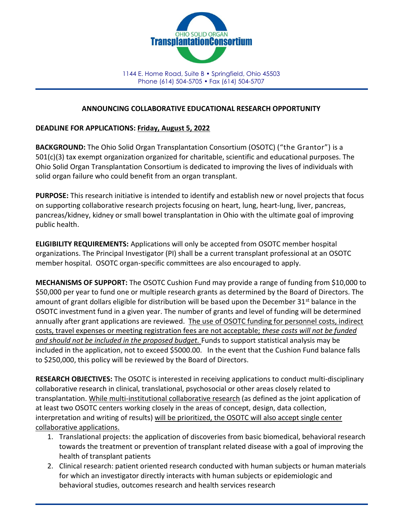

1144 E. Home Road, Suite B • Springfield, Ohio 45503 Phone (614) 504-5705 • Fax (614) 504-5707

## ANNOUNCING COLLABORATIVE EDUCATIONAL RESEARCH OPPORTUNITY

## DEADLINE FOR APPLICATIONS: Friday, August 5, 2022

BACKGROUND: The Ohio Solid Organ Transplantation Consortium (OSOTC) ("the Grantor") is a 501(c)(3) tax exempt organization organized for charitable, scientific and educational purposes. The Ohio Solid Organ Transplantation Consortium is dedicated to improving the lives of individuals with solid organ failure who could benefit from an organ transplant.

PURPOSE: This research initiative is intended to identify and establish new or novel projects that focus on supporting collaborative research projects focusing on heart, lung, heart-lung, liver, pancreas, pancreas/kidney, kidney or small bowel transplantation in Ohio with the ultimate goal of improving public health.

ELIGIBILITY REQUIREMENTS: Applications will only be accepted from OSOTC member hospital organizations. The Principal Investigator (PI) shall be a current transplant professional at an OSOTC member hospital. OSOTC organ-specific committees are also encouraged to apply.

MECHANISMS OF SUPPORT: The OSOTC Cushion Fund may provide a range of funding from \$10,000 to \$50,000 per year to fund one or multiple research grants as determined by the Board of Directors. The amount of grant dollars eligible for distribution will be based upon the December  $31<sup>st</sup>$  balance in the OSOTC investment fund in a given year. The number of grants and level of funding will be determined annually after grant applications are reviewed. The use of OSOTC funding for personnel costs, indirect costs, travel expenses or meeting registration fees are not acceptable; these costs will not be funded and should not be included in the proposed budget. Funds to support statistical analysis may be included in the application, not to exceed \$5000.00. In the event that the Cushion Fund balance falls to \$250,000, this policy will be reviewed by the Board of Directors.

RESEARCH OBJECTIVES: The OSOTC is interested in receiving applications to conduct multi-disciplinary collaborative research in clinical, translational, psychosocial or other areas closely related to transplantation. While multi-institutional collaborative research (as defined as the joint application of at least two OSOTC centers working closely in the areas of concept, design, data collection, interpretation and writing of results) will be prioritized, the OSOTC will also accept single center collaborative applications.

- 1. Translational projects: the application of discoveries from basic biomedical, behavioral research towards the treatment or prevention of transplant related disease with a goal of improving the health of transplant patients
- 2. Clinical research: patient oriented research conducted with human subjects or human materials for which an investigator directly interacts with human subjects or epidemiologic and behavioral studies, outcomes research and health services research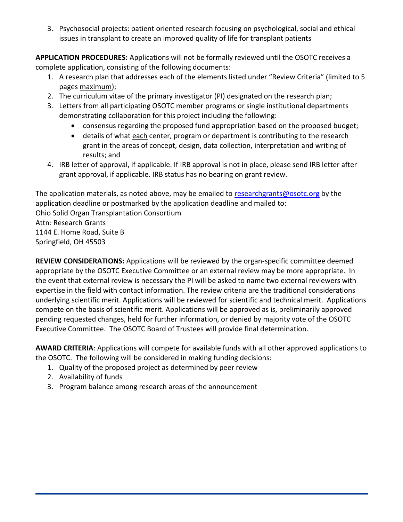3. Psychosocial projects: patient oriented research focusing on psychological, social and ethical issues in transplant to create an improved quality of life for transplant patients

APPLICATION PROCEDURES: Applications will not be formally reviewed until the OSOTC receives a complete application, consisting of the following documents:

- 1. A research plan that addresses each of the elements listed under "Review Criteria" (limited to 5 pages maximum);
- 2. The curriculum vitae of the primary investigator (PI) designated on the research plan;
- 3. Letters from all participating OSOTC member programs or single institutional departments demonstrating collaboration for this project including the following:
	- consensus regarding the proposed fund appropriation based on the proposed budget;
	- details of what each center, program or department is contributing to the research grant in the areas of concept, design, data collection, interpretation and writing of results; and
- 4. IRB letter of approval, if applicable. If IRB approval is not in place, please send IRB letter after grant approval, if applicable. IRB status has no bearing on grant review.

The application materials, as noted above, may be emailed to researchgrants@osotc.org by the application deadline or postmarked by the application deadline and mailed to: Ohio Solid Organ Transplantation Consortium Attn: Research Grants 1144 E. Home Road, Suite B Springfield, OH 45503

REVIEW CONSIDERATIONS: Applications will be reviewed by the organ-specific committee deemed appropriate by the OSOTC Executive Committee or an external review may be more appropriate. In the event that external review is necessary the PI will be asked to name two external reviewers with expertise in the field with contact information. The review criteria are the traditional considerations underlying scientific merit. Applications will be reviewed for scientific and technical merit. Applications compete on the basis of scientific merit. Applications will be approved as is, preliminarily approved pending requested changes, held for further information, or denied by majority vote of the OSOTC Executive Committee. The OSOTC Board of Trustees will provide final determination.

AWARD CRITERIA: Applications will compete for available funds with all other approved applications to the OSOTC. The following will be considered in making funding decisions:

- 1. Quality of the proposed project as determined by peer review
- 2. Availability of funds
- 3. Program balance among research areas of the announcement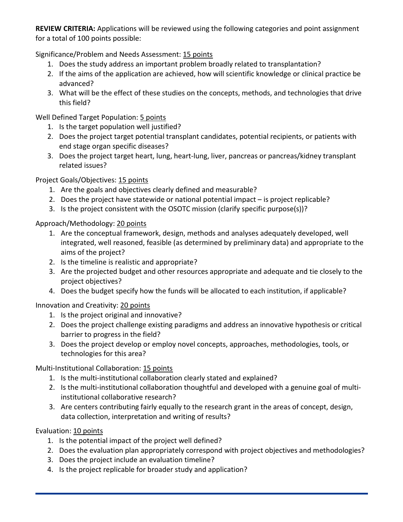REVIEW CRITERIA: Applications will be reviewed using the following categories and point assignment for a total of 100 points possible:

Significance/Problem and Needs Assessment: 15 points

- 1. Does the study address an important problem broadly related to transplantation?
- 2. If the aims of the application are achieved, how will scientific knowledge or clinical practice be advanced?
- 3. What will be the effect of these studies on the concepts, methods, and technologies that drive this field?

Well Defined Target Population: 5 points

- 1. Is the target population well justified?
- 2. Does the project target potential transplant candidates, potential recipients, or patients with end stage organ specific diseases?
- 3. Does the project target heart, lung, heart-lung, liver, pancreas or pancreas/kidney transplant related issues?

Project Goals/Objectives: 15 points

- 1. Are the goals and objectives clearly defined and measurable?
- 2. Does the project have statewide or national potential impact is project replicable?
- 3. Is the project consistent with the OSOTC mission (clarify specific purpose(s))?

## Approach/Methodology: 20 points

- 1. Are the conceptual framework, design, methods and analyses adequately developed, well integrated, well reasoned, feasible (as determined by preliminary data) and appropriate to the aims of the project?
- 2. Is the timeline is realistic and appropriate?
- 3. Are the projected budget and other resources appropriate and adequate and tie closely to the project objectives?
- 4. Does the budget specify how the funds will be allocated to each institution, if applicable?

Innovation and Creativity: 20 points

- 1. Is the project original and innovative?
- 2. Does the project challenge existing paradigms and address an innovative hypothesis or critical barrier to progress in the field?
- 3. Does the project develop or employ novel concepts, approaches, methodologies, tools, or technologies for this area?

Multi-Institutional Collaboration: 15 points

- 1. Is the multi-institutional collaboration clearly stated and explained?
- 2. Is the multi-institutional collaboration thoughtful and developed with a genuine goal of multiinstitutional collaborative research?
- 3. Are centers contributing fairly equally to the research grant in the areas of concept, design, data collection, interpretation and writing of results?

Evaluation: 10 points

- 1. Is the potential impact of the project well defined?
- 2. Does the evaluation plan appropriately correspond with project objectives and methodologies?
- 3. Does the project include an evaluation timeline?
- 4. Is the project replicable for broader study and application?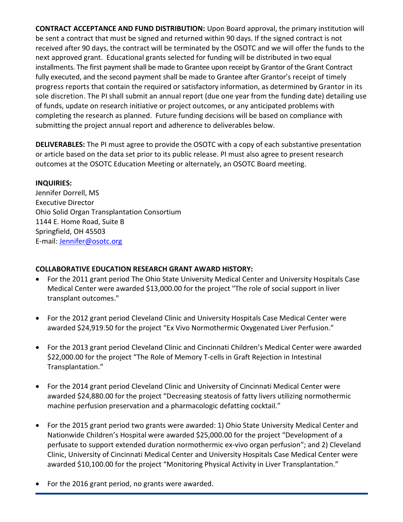CONTRACT ACCEPTANCE AND FUND DISTRIBUTION: Upon Board approval, the primary institution will be sent a contract that must be signed and returned within 90 days. If the signed contract is not received after 90 days, the contract will be terminated by the OSOTC and we will offer the funds to the next approved grant. Educational grants selected for funding will be distributed in two equal installments. The first payment shall be made to Grantee upon receipt by Grantor of the Grant Contract fully executed, and the second payment shall be made to Grantee after Grantor's receipt of timely progress reports that contain the required or satisfactory information, as determined by Grantor in its sole discretion. The PI shall submit an annual report (due one year from the funding date) detailing use of funds, update on research initiative or project outcomes, or any anticipated problems with completing the research as planned. Future funding decisions will be based on compliance with submitting the project annual report and adherence to deliverables below.

DELIVERABLES: The PI must agree to provide the OSOTC with a copy of each substantive presentation or article based on the data set prior to its public release. PI must also agree to present research outcomes at the OSOTC Education Meeting or alternately, an OSOTC Board meeting.

# INQUIRIES:

Jennifer Dorrell, MS Executive Director Ohio Solid Organ Transplantation Consortium 1144 E. Home Road, Suite B Springfield, OH 45503 E-mail: Jennifer@osotc.org

# COLLABORATIVE EDUCATION RESEARCH GRANT AWARD HISTORY:

- For the 2011 grant period The Ohio State University Medical Center and University Hospitals Case Medical Center were awarded \$13,000.00 for the project "The role of social support in liver transplant outcomes."
- For the 2012 grant period Cleveland Clinic and University Hospitals Case Medical Center were awarded \$24,919.50 for the project "Ex Vivo Normothermic Oxygenated Liver Perfusion."
- For the 2013 grant period Cleveland Clinic and Cincinnati Children's Medical Center were awarded \$22,000.00 for the project "The Role of Memory T-cells in Graft Rejection in Intestinal Transplantation."
- For the 2014 grant period Cleveland Clinic and University of Cincinnati Medical Center were awarded \$24,880.00 for the project "Decreasing steatosis of fatty livers utilizing normothermic machine perfusion preservation and a pharmacologic defatting cocktail."
- For the 2015 grant period two grants were awarded: 1) Ohio State University Medical Center and Nationwide Children's Hospital were awarded \$25,000.00 for the project "Development of a perfusate to support extended duration normothermic ex-vivo organ perfusion"; and 2) Cleveland Clinic, University of Cincinnati Medical Center and University Hospitals Case Medical Center were awarded \$10,100.00 for the project "Monitoring Physical Activity in Liver Transplantation."
- For the 2016 grant period, no grants were awarded.